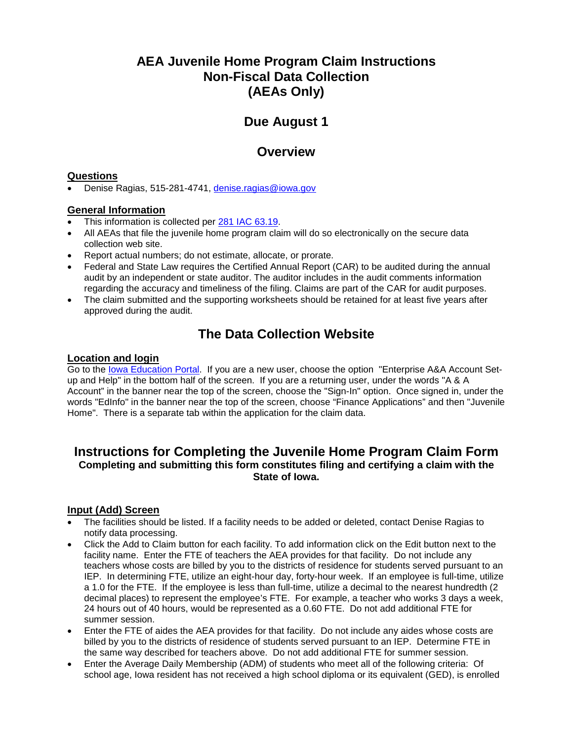## **AEA Juvenile Home Program Claim Instructions Non-Fiscal Data Collection (AEAs Only)**

# **Due August 1**

### **Overview**

#### **Questions**

• Denise Ragias, 515-281-4741, [denise.ragias@iowa.gov](file://ED/DATA/EDGROUP/School%20Finance%20Team/AEAs/Juvenile%20Homes/Juvenile%20Home%20Claims/JH%20Claim%20Instructions/denise.ragias@iowa.gov)

#### **General Information**

- This information is collected per [281 IAC 63.19.](https://www.legis.iowa.gov/docs/iac/chapter/281.63.pdf)
- All AEAs that file the juvenile home program claim will do so electronically on the secure data collection web site.
- Report actual numbers; do not estimate, allocate, or prorate.
- Federal and State Law requires the Certified Annual Report (CAR) to be audited during the annual audit by an independent or state auditor. The auditor includes in the audit comments information regarding the accuracy and timeliness of the filing. Claims are part of the CAR for audit purposes.
- The claim submitted and the supporting worksheets should be retained for at least five vears after approved during the audit.

## **The Data Collection Website**

#### **Location and login**

Go to the [Iowa Education Portal.](https://portal.ed.iowa.gov/iowalandingpage/Landing.aspx) If you are a new user, choose the option "Enterprise A&A Account Setup and Help" in the bottom half of the screen. If you are a returning user, under the words "A & A Account" in the banner near the top of the screen, choose the "Sign-In" option. Once signed in, under the words "EdInfo" in the banner near the top of the screen, choose "Finance Applications" and then "Juvenile Home". There is a separate tab within the application for the claim data.

### **Instructions for Completing the Juvenile Home Program Claim Form Completing and submitting this form constitutes filing and certifying a claim with the State of Iowa.**

#### **Input (Add) Screen**

- The facilities should be listed. If a facility needs to be added or deleted, contact Denise Ragias to notify data processing.
- Click the Add to Claim button for each facility. To add information click on the Edit button next to the facility name. Enter the FTE of teachers the AEA provides for that facility. Do not include any teachers whose costs are billed by you to the districts of residence for students served pursuant to an IEP. In determining FTE, utilize an eight-hour day, forty-hour week. If an employee is full-time, utilize a 1.0 for the FTE. If the employee is less than full-time, utilize a decimal to the nearest hundredth (2 decimal places) to represent the employee's FTE. For example, a teacher who works 3 days a week, 24 hours out of 40 hours, would be represented as a 0.60 FTE. Do not add additional FTE for summer session.
- Enter the FTE of aides the AEA provides for that facility. Do not include any aides whose costs are billed by you to the districts of residence of students served pursuant to an IEP. Determine FTE in the same way described for teachers above. Do not add additional FTE for summer session.
- Enter the Average Daily Membership (ADM) of students who meet all of the following criteria: Of school age, Iowa resident has not received a high school diploma or its equivalent (GED), is enrolled